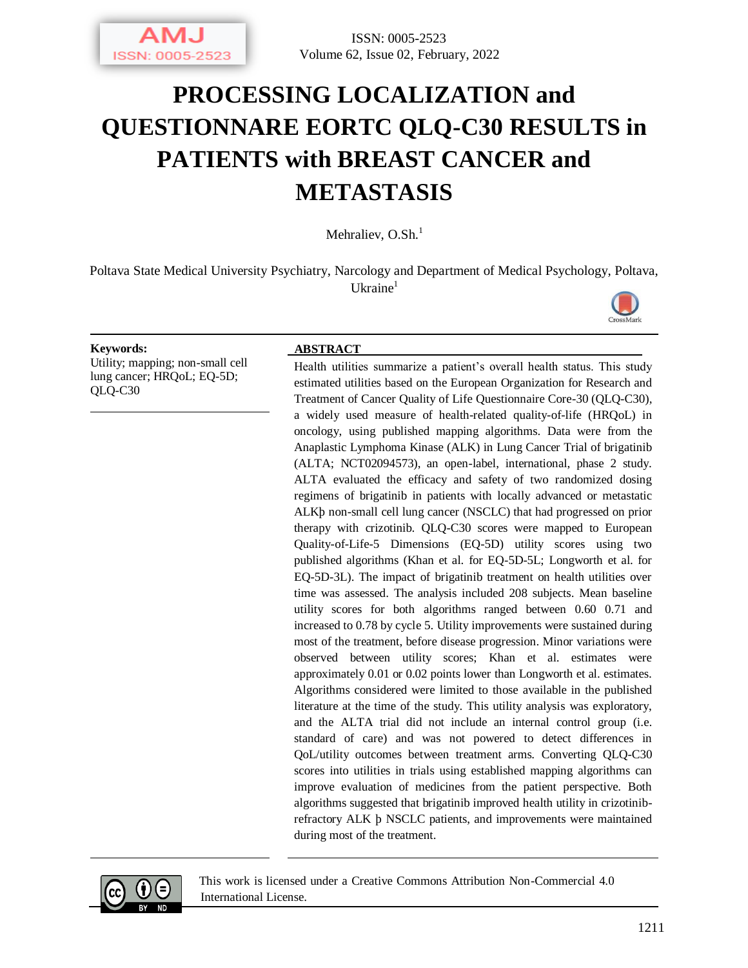

# **PROCESSING LOCALIZATION and QUESTIONNARE EORTC QLQ-C30 RESULTS in PATIENTS with BREAST CANCER and METASTASIS**

Mehraliev,  $O.Sh.<sup>1</sup>$ 

Poltava State Medical University Psychiatry, Narcology and Department of Medical Psychology, Poltava,  $U$ kraine<sup>1</sup>



Utility; mapping; non-small cell lung cancer; HRQoL; EQ-5D; QLQ-C30

#### **Keywords: ABSTRACT**

Health utilities summarize a patient's overall health status. This study estimated utilities based on the European Organization for Research and Treatment of Cancer Quality of Life Questionnaire Core-30 (QLQ-C30), a widely used measure of health-related quality-of-life (HRQoL) in oncology, using published mapping algorithms. Data were from the Anaplastic Lymphoma Kinase (ALK) in Lung Cancer Trial of brigatinib (ALTA; NCT02094573), an open-label, international, phase 2 study. ALTA evaluated the efficacy and safety of two randomized dosing regimens of brigatinib in patients with locally advanced or metastatic ALKþ non-small cell lung cancer (NSCLC) that had progressed on prior therapy with crizotinib. QLQ-C30 scores were mapped to European Quality-of-Life-5 Dimensions (EQ-5D) utility scores using two published algorithms (Khan et al. for EQ-5D-5L; Longworth et al. for EQ-5D-3L). The impact of brigatinib treatment on health utilities over time was assessed. The analysis included 208 subjects. Mean baseline utility scores for both algorithms ranged between 0.60 0.71 and increased to 0.78 by cycle 5. Utility improvements were sustained during most of the treatment, before disease progression. Minor variations were observed between utility scores; Khan et al. estimates were approximately 0.01 or 0.02 points lower than Longworth et al. estimates. Algorithms considered were limited to those available in the published literature at the time of the study. This utility analysis was exploratory, and the ALTA trial did not include an internal control group (i.e. standard of care) and was not powered to detect differences in QoL/utility outcomes between treatment arms. Converting QLQ-C30 scores into utilities in trials using established mapping algorithms can improve evaluation of medicines from the patient perspective. Both algorithms suggested that brigatinib improved health utility in crizotinibrefractory ALK þ NSCLC patients, and improvements were maintained during most of the treatment.



This work is licensed under a Creative Commons Attribution Non-Commercial 4.0 International License.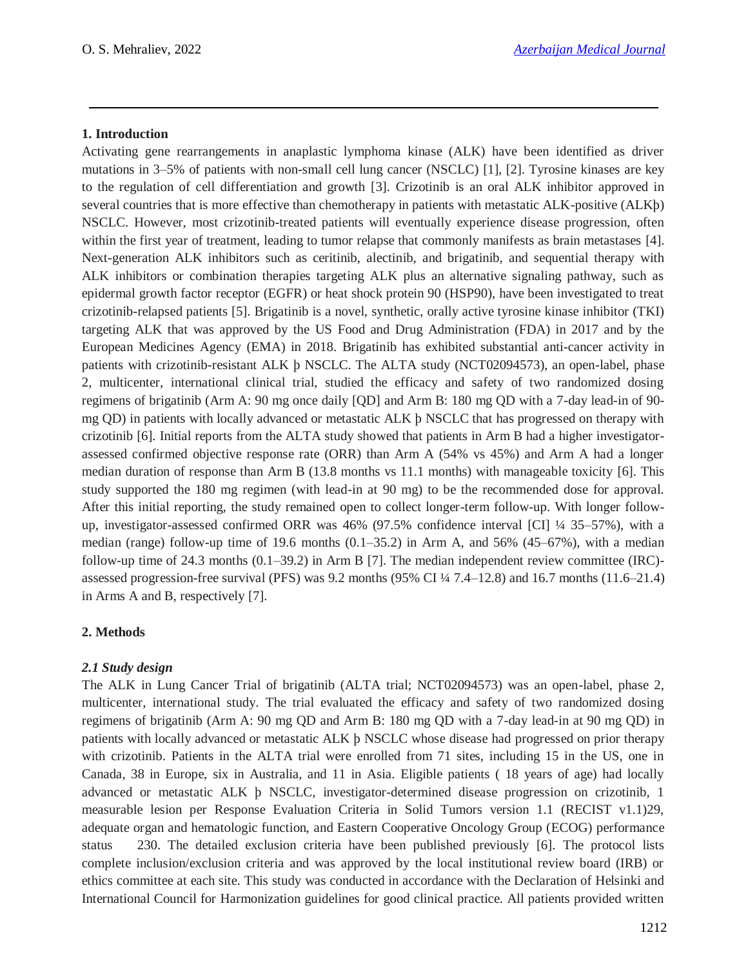## **1. Introduction**

Activating gene rearrangements in anaplastic lymphoma kinase (ALK) have been identified as driver mutations in 3–5% of patients with non-small cell lung cancer (NSCLC) [1], [2]. Tyrosine kinases are key to the regulation of cell differentiation and growth [3]. Crizotinib is an oral ALK inhibitor approved in several countries that is more effective than chemotherapy in patients with metastatic ALK-positive (ALKþ) NSCLC. However, most crizotinib-treated patients will eventually experience disease progression, often within the first year of treatment, leading to tumor relapse that commonly manifests as brain metastases [4]. Next-generation ALK inhibitors such as ceritinib, alectinib, and brigatinib, and sequential therapy with ALK inhibitors or combination therapies targeting ALK plus an alternative signaling pathway, such as epidermal growth factor receptor (EGFR) or heat shock protein 90 (HSP90), have been investigated to treat crizotinib-relapsed patients [5]. Brigatinib is a novel, synthetic, orally active tyrosine kinase inhibitor (TKI) targeting ALK that was approved by the US Food and Drug Administration (FDA) in 2017 and by the European Medicines Agency (EMA) in 2018. Brigatinib has exhibited substantial anti-cancer activity in patients with crizotinib-resistant ALK þ NSCLC. The ALTA study (NCT02094573), an open-label, phase 2, multicenter, international clinical trial, studied the efficacy and safety of two randomized dosing regimens of brigatinib (Arm A: 90 mg once daily [QD] and Arm B: 180 mg QD with a 7-day lead-in of 90 mg QD) in patients with locally advanced or metastatic ALK þ NSCLC that has progressed on therapy with crizotinib [6]. Initial reports from the ALTA study showed that patients in Arm B had a higher investigatorassessed confirmed objective response rate (ORR) than Arm A (54% vs 45%) and Arm A had a longer median duration of response than Arm B (13.8 months vs 11.1 months) with manageable toxicity [6]. This study supported the 180 mg regimen (with lead-in at 90 mg) to be the recommended dose for approval. After this initial reporting, the study remained open to collect longer-term follow-up. With longer followup, investigator-assessed confirmed ORR was 46% (97.5% confidence interval [CI] ¼ 35–57%), with a median (range) follow-up time of 19.6 months  $(0.1-35.2)$  in Arm A, and 56%  $(45-67%)$ , with a median follow-up time of 24.3 months (0.1–39.2) in Arm B [7]. The median independent review committee (IRC) assessed progression-free survival (PFS) was 9.2 months (95% CI ¼ 7.4–12.8) and 16.7 months (11.6–21.4) in Arms A and B, respectively [7].

# **2. Methods**

# *2.1 Study design*

The ALK in Lung Cancer Trial of brigatinib (ALTA trial; NCT02094573) was an open-label, phase 2, multicenter, international study. The trial evaluated the efficacy and safety of two randomized dosing regimens of brigatinib (Arm A: 90 mg QD and Arm B: 180 mg QD with a 7-day lead-in at 90 mg QD) in patients with locally advanced or metastatic ALK þ NSCLC whose disease had progressed on prior therapy with crizotinib. Patients in the ALTA trial were enrolled from 71 sites, including 15 in the US, one in Canada, 38 in Europe, six in Australia, and 11 in Asia. Eligible patients ( 18 years of age) had locally advanced or metastatic ALK þ NSCLC, investigator-determined disease progression on crizotinib, 1 measurable lesion per Response Evaluation Criteria in Solid Tumors version 1.1 (RECIST v1.1)29, adequate organ and hematologic function, and Eastern Cooperative Oncology Group (ECOG) performance status 230. The detailed exclusion criteria have been published previously [6]. The protocol lists complete inclusion/exclusion criteria and was approved by the local institutional review board (IRB) or ethics committee at each site. This study was conducted in accordance with the Declaration of Helsinki and International Council for Harmonization guidelines for good clinical practice. All patients provided written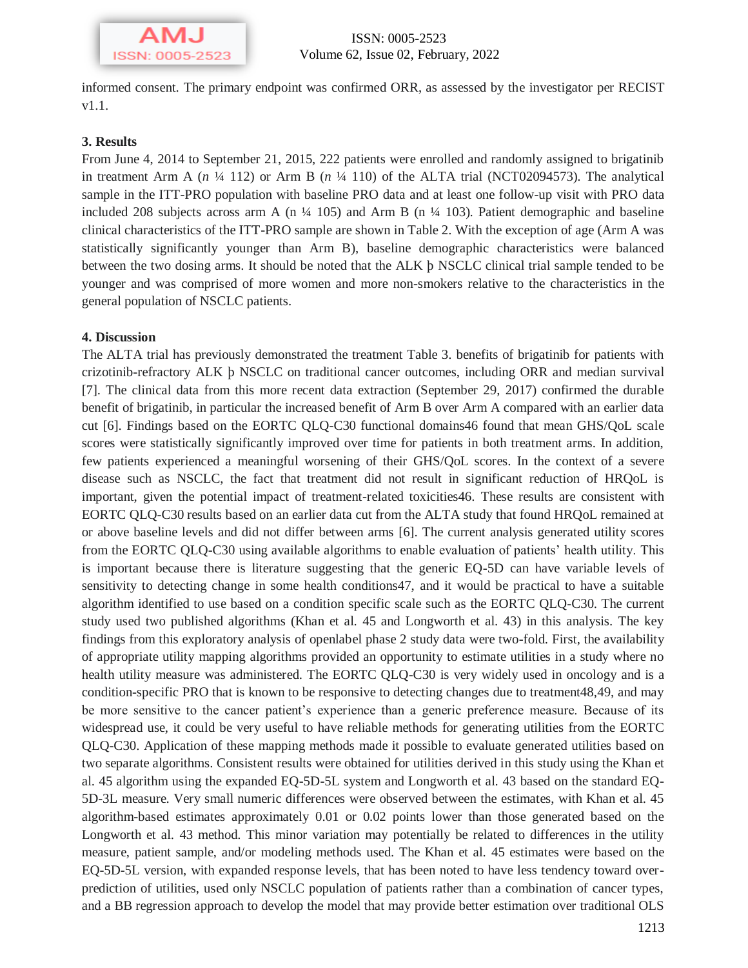

informed consent. The primary endpoint was confirmed ORR, as assessed by the investigator per RECIST v1.1.

#### **3. Results**

From June 4, 2014 to September 21, 2015, 222 patients were enrolled and randomly assigned to brigatinib in treatment Arm A  $(n \frac{1}{4} 112)$  or Arm B  $(n \frac{1}{4} 110)$  of the ALTA trial (NCT02094573). The analytical sample in the ITT-PRO population with baseline PRO data and at least one follow-up visit with PRO data included 208 subjects across arm A (n  $\frac{1}{4}$  105) and Arm B (n  $\frac{1}{4}$  103). Patient demographic and baseline clinical characteristics of the ITT-PRO sample are shown in Table 2. With the exception of age (Arm A was statistically significantly younger than Arm B), baseline demographic characteristics were balanced between the two dosing arms. It should be noted that the ALK þ NSCLC clinical trial sample tended to be younger and was comprised of more women and more non-smokers relative to the characteristics in the general population of NSCLC patients.

#### **4. Discussion**

The ALTA trial has previously demonstrated the treatment Table 3. benefits of brigatinib for patients with crizotinib-refractory ALK þ NSCLC on traditional cancer outcomes, including ORR and median survival [7]. The clinical data from this more recent data extraction (September 29, 2017) confirmed the durable benefit of brigatinib, in particular the increased benefit of Arm B over Arm A compared with an earlier data cut [6]. Findings based on the EORTC QLQ-C30 functional domains46 found that mean GHS/QoL scale scores were statistically significantly improved over time for patients in both treatment arms. In addition, few patients experienced a meaningful worsening of their GHS/QoL scores. In the context of a severe disease such as NSCLC, the fact that treatment did not result in significant reduction of HRQoL is important, given the potential impact of treatment-related toxicities46. These results are consistent with EORTC QLQ-C30 results based on an earlier data cut from the ALTA study that found HRQoL remained at or above baseline levels and did not differ between arms [6]. The current analysis generated utility scores from the EORTC QLQ-C30 using available algorithms to enable evaluation of patients' health utility. This is important because there is literature suggesting that the generic EQ-5D can have variable levels of sensitivity to detecting change in some health conditions47, and it would be practical to have a suitable algorithm identified to use based on a condition specific scale such as the EORTC QLQ-C30. The current study used two published algorithms (Khan et al. 45 and Longworth et al. 43) in this analysis. The key findings from this exploratory analysis of openlabel phase 2 study data were two-fold. First, the availability of appropriate utility mapping algorithms provided an opportunity to estimate utilities in a study where no health utility measure was administered. The EORTC QLQ-C30 is very widely used in oncology and is a condition-specific PRO that is known to be responsive to detecting changes due to treatment48,49, and may be more sensitive to the cancer patient's experience than a generic preference measure. Because of its widespread use, it could be very useful to have reliable methods for generating utilities from the EORTC QLQ-C30. Application of these mapping methods made it possible to evaluate generated utilities based on two separate algorithms. Consistent results were obtained for utilities derived in this study using the Khan et al. 45 algorithm using the expanded EQ-5D-5L system and Longworth et al. 43 based on the standard EQ-5D-3L measure. Very small numeric differences were observed between the estimates, with Khan et al. 45 algorithm-based estimates approximately 0.01 or 0.02 points lower than those generated based on the Longworth et al. 43 method. This minor variation may potentially be related to differences in the utility measure, patient sample, and/or modeling methods used. The Khan et al. 45 estimates were based on the EQ-5D-5L version, with expanded response levels, that has been noted to have less tendency toward overprediction of utilities, used only NSCLC population of patients rather than a combination of cancer types, and a BB regression approach to develop the model that may provide better estimation over traditional OLS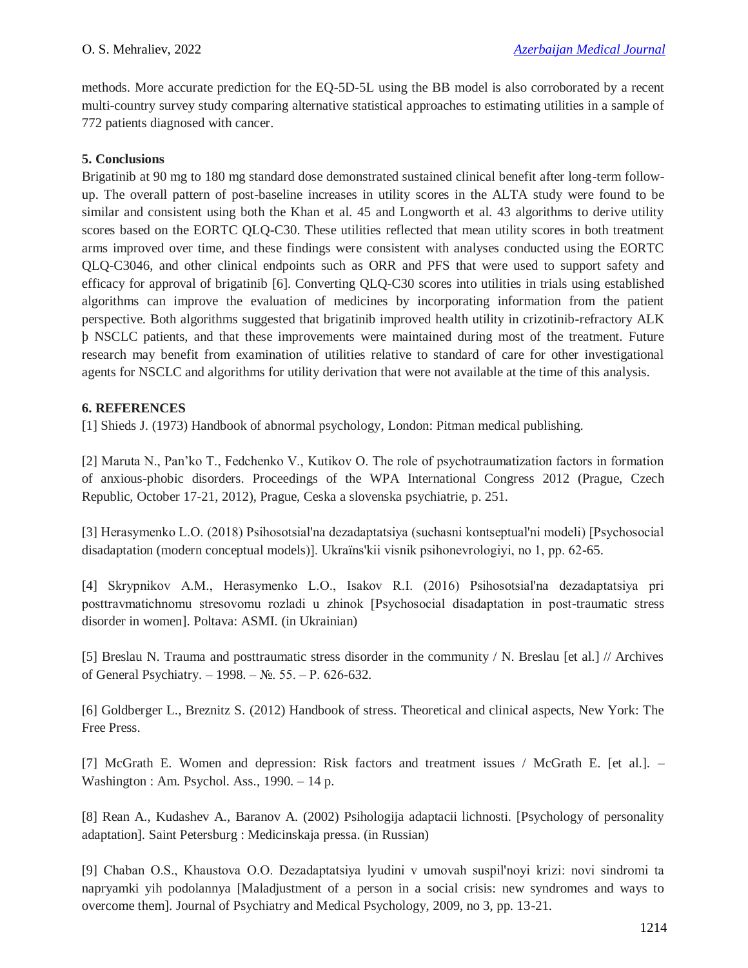methods. More accurate prediction for the EQ-5D-5L using the BB model is also corroborated by a recent multi-country survey study comparing alternative statistical approaches to estimating utilities in a sample of 772 patients diagnosed with cancer.

## **5. Conclusions**

Brigatinib at 90 mg to 180 mg standard dose demonstrated sustained clinical benefit after long-term followup. The overall pattern of post-baseline increases in utility scores in the ALTA study were found to be similar and consistent using both the Khan et al. 45 and Longworth et al. 43 algorithms to derive utility scores based on the EORTC QLQ-C30. These utilities reflected that mean utility scores in both treatment arms improved over time, and these findings were consistent with analyses conducted using the EORTC QLQ-C3046, and other clinical endpoints such as ORR and PFS that were used to support safety and efficacy for approval of brigatinib [6]. Converting QLQ-C30 scores into utilities in trials using established algorithms can improve the evaluation of medicines by incorporating information from the patient perspective. Both algorithms suggested that brigatinib improved health utility in crizotinib-refractory ALK þ NSCLC patients, and that these improvements were maintained during most of the treatment. Future research may benefit from examination of utilities relative to standard of care for other investigational agents for NSCLC and algorithms for utility derivation that were not available at the time of this analysis.

#### **6. REFERENCES**

[1] Shieds J. (1973) Handbook of abnormal psychology, London: Pitman medical publishing.

[2] Maruta N., Pan'ko T., Fedchenko V., Kutikov O. The role of psychotraumatization factors in formation of anxious-phobic disorders. Proceedings of the WPA International Congress 2012 (Prague, Czech Republic, October 17-21, 2012), Prague, Ceska a slovenska psychiatrie, p. 251.

[3] Herasymenko L.O. (2018) Psihosotsіal'na dezadaptatsіya (suchasnі kontseptual'nі modelі) [Psychosocial disadaptation (modern conceptual models)]. Ukraїns'kii vіsnik psihonevrologіyi, no 1, pp. 62-65.

[4] Skrypnіkov A.M., Herasymenko L.O., Іsakov R.І. (2016) Psihosotsіal'na dezadaptatsіya pri posttravmatichnomu stresovomu rozladі u zhіnok [Psychosocial disadaptation in post-traumatic stress disorder in women]. Poltava: ASMI. (in Ukrainian)

[5] Breslau N. Trauma and posttraumatic stress disorder in the community / N. Breslau [et al.] // Archives of General Psychiatry. – 1998. – №. 55. – Р. 626-632.

[6] Goldberger L., Breznitz S. (2012) Handbook of stress. Theoretical and clinical aspects, New York: The Free Press.

[7] McGrath E. Women and depression: Risk factors and treatment issues / McGrath E. [et al.]. – Washington : Am. Psychol. Ass., 1990. – 14 p.

[8] Rean A., Kudashev A., Baranov A. (2002) Psihologija adaptacii lichnosti. [Psychology of personality adaptation]. Saint Petersburg : Medicinskaja pressa. (in Russian)

[9] Chaban O.S., Khaustova O.O. Dezadaptatsіya lyudini v umovah suspіl'noyi krizi: novі sindromi ta napryamki yih podolannya [Maladjustment of a person in a social crisis: new syndromes and ways to overcome them]. Journal of Psychiatry and Medical Psychology, 2009, no 3, pp. 13-21.